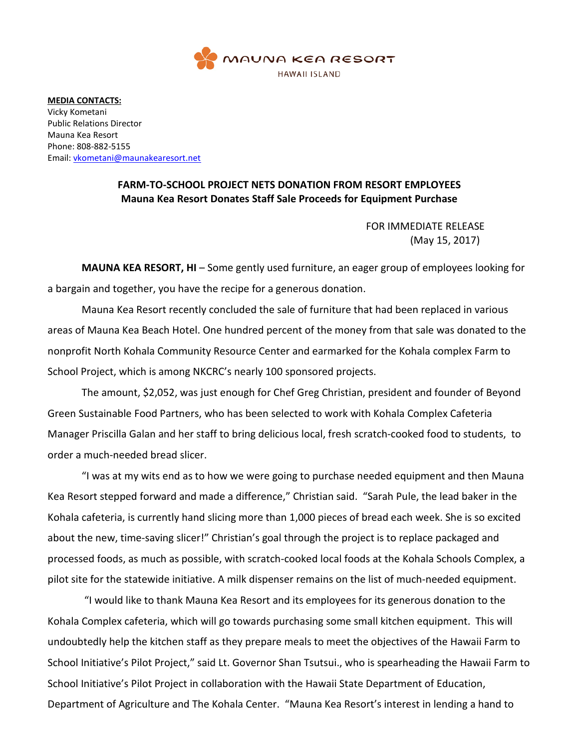

**MEDIA CONTACTS:**  Vicky Kometani Public Relations Director Mauna Kea Resort Phone: 808-882-5155 Email: vkometani@maunakearesort.net

## **FARM-TO-SCHOOL PROJECT NETS DONATION FROM RESORT EMPLOYEES Mauna Kea Resort Donates Staff Sale Proceeds for Equipment Purchase**

FOR IMMEDIATE RELEASE (May 15, 2017)

**MAUNA KEA RESORT, HI** – Some gently used furniture, an eager group of employees looking for a bargain and together, you have the recipe for a generous donation.

Mauna Kea Resort recently concluded the sale of furniture that had been replaced in various areas of Mauna Kea Beach Hotel. One hundred percent of the money from that sale was donated to the nonprofit North Kohala Community Resource Center and earmarked for the Kohala complex Farm to School Project, which is among NKCRC's nearly 100 sponsored projects.

The amount, \$2,052, was just enough for Chef Greg Christian, president and founder of Beyond Green Sustainable Food Partners, who has been selected to work with Kohala Complex Cafeteria Manager Priscilla Galan and her staff to bring delicious local, fresh scratch-cooked food to students, to order a much-needed bread slicer.

"I was at my wits end as to how we were going to purchase needed equipment and then Mauna Kea Resort stepped forward and made a difference," Christian said. "Sarah Pule, the lead baker in the Kohala cafeteria, is currently hand slicing more than 1,000 pieces of bread each week. She is so excited about the new, time-saving slicer!" Christian's goal through the project is to replace packaged and processed foods, as much as possible, with scratch-cooked local foods at the Kohala Schools Complex, a pilot site for the statewide initiative. A milk dispenser remains on the list of much-needed equipment.

"I would like to thank Mauna Kea Resort and its employees for its generous donation to the Kohala Complex cafeteria, which will go towards purchasing some small kitchen equipment. This will undoubtedly help the kitchen staff as they prepare meals to meet the objectives of the Hawaii Farm to School Initiative's Pilot Project," said Lt. Governor Shan Tsutsui., who is spearheading the Hawaii Farm to School Initiative's Pilot Project in collaboration with the Hawaii State Department of Education, Department of Agriculture and The Kohala Center. "Mauna Kea Resort's interest in lending a hand to